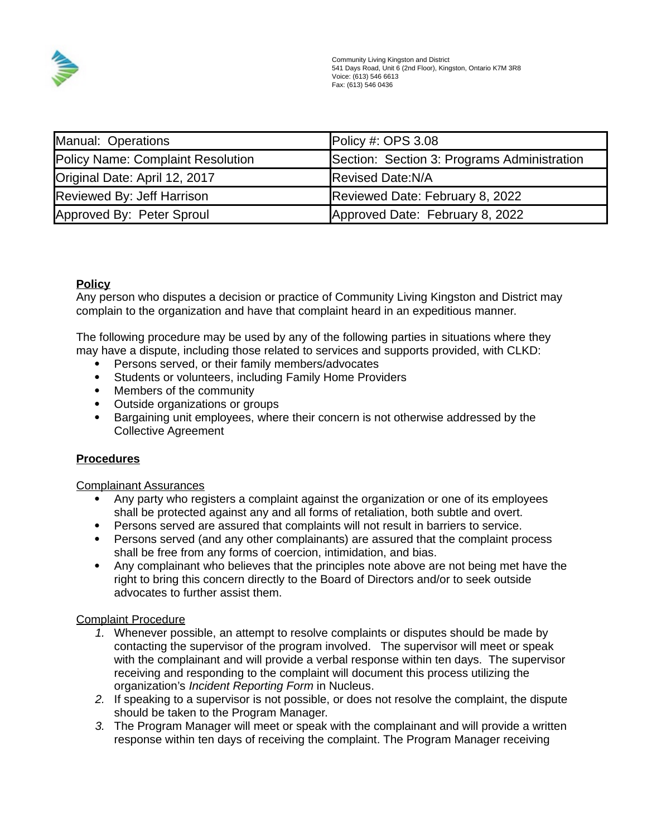

| Manual: Operations                | Policy #: OPS $3.08$                        |
|-----------------------------------|---------------------------------------------|
| Policy Name: Complaint Resolution | Section: Section 3: Programs Administration |
| Original Date: April 12, 2017     | <b>Revised Date:N/A</b>                     |
| Reviewed By: Jeff Harrison        | Reviewed Date: February 8, 2022             |
| Approved By: Peter Sproul         | Approved Date: February 8, 2022             |

# **Policy**

Any person who disputes a decision or practice of Community Living Kingston and District may complain to the organization and have that complaint heard in an expeditious manner.

The following procedure may be used by any of the following parties in situations where they may have a dispute, including those related to services and supports provided, with CLKD:

- Persons served, or their family members/advocates
- Students or volunteers, including Family Home Providers
- Members of the community
- Outside organizations or groups
- Bargaining unit employees, where their concern is not otherwise addressed by the Collective Agreement

# **Procedures**

Complainant Assurances

- Any party who registers a complaint against the organization or one of its employees shall be protected against any and all forms of retaliation, both subtle and overt.
- Persons served are assured that complaints will not result in barriers to service.
- Persons served (and any other complainants) are assured that the complaint process shall be free from any forms of coercion, intimidation, and bias.
- Any complainant who believes that the principles note above are not being met have the right to bring this concern directly to the Board of Directors and/or to seek outside advocates to further assist them.

# Complaint Procedure

- *1.* Whenever possible, an attempt to resolve complaints or disputes should be made by contacting the supervisor of the program involved. The supervisor will meet or speak with the complainant and will provide a verbal response within ten days. The supervisor receiving and responding to the complaint will document this process utilizing the organization's *Incident Reporting Form* in Nucleus.
- *2.* If speaking to a supervisor is not possible, or does not resolve the complaint, the dispute should be taken to the Program Manager.
- *3.* The Program Manager will meet or speak with the complainant and will provide a written response within ten days of receiving the complaint. The Program Manager receiving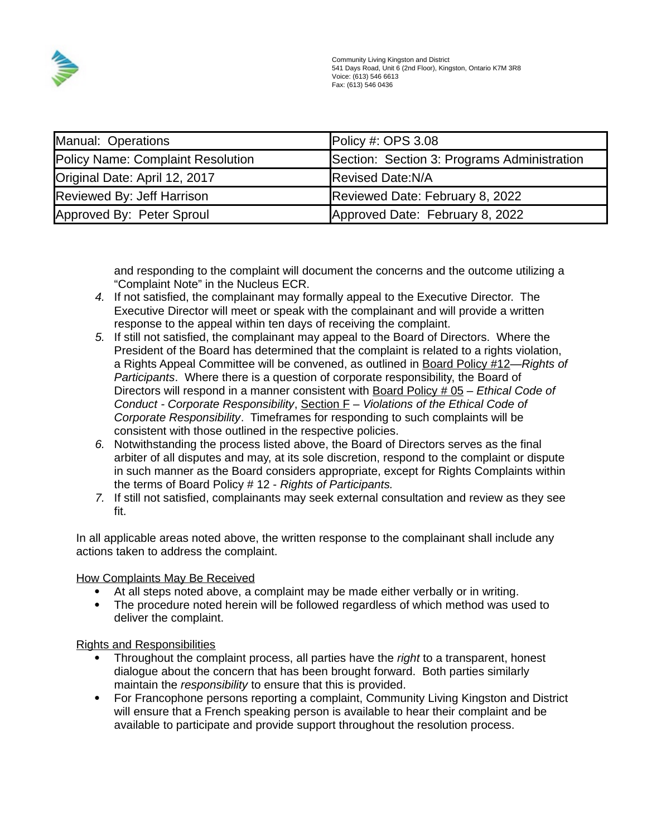

| Manual: Operations                | Policy #: OPS $3.08$                        |
|-----------------------------------|---------------------------------------------|
| Policy Name: Complaint Resolution | Section: Section 3: Programs Administration |
| Original Date: April 12, 2017     | <b>Revised Date:N/A</b>                     |
| Reviewed By: Jeff Harrison        | Reviewed Date: February 8, 2022             |
| Approved By: Peter Sproul         | Approved Date: February 8, 2022             |

and responding to the complaint will document the concerns and the outcome utilizing a "Complaint Note" in the Nucleus ECR.

- *4.* If not satisfied, the complainant may formally appeal to the Executive Director. The Executive Director will meet or speak with the complainant and will provide a written response to the appeal within ten days of receiving the complaint.
- *5.* If still not satisfied, the complainant may appeal to the Board of Directors. Where the President of the Board has determined that the complaint is related to a rights violation, a Rights Appeal Committee will be convened, as outlined in Board Policy #12—*Rights of Participants*. Where there is a question of corporate responsibility, the Board of Directors will respond in a manner consistent with Board Policy # 05 – *Ethical Code of Conduct - Corporate Responsibility*, Section F – *Violations of the Ethical Code of Corporate Responsibility*. Timeframes for responding to such complaints will be consistent with those outlined in the respective policies.
- *6.* Notwithstanding the process listed above, the Board of Directors serves as the final arbiter of all disputes and may, at its sole discretion, respond to the complaint or dispute in such manner as the Board considers appropriate, except for Rights Complaints within the terms of Board Policy # 12 - *Rights of Participants.*
- *7.* If still not satisfied, complainants may seek external consultation and review as they see fit.

In all applicable areas noted above, the written response to the complainant shall include any actions taken to address the complaint.

How Complaints May Be Received

- At all steps noted above, a complaint may be made either verbally or in writing.
- The procedure noted herein will be followed regardless of which method was used to deliver the complaint.

Rights and Responsibilities

- Throughout the complaint process, all parties have the *right* to a transparent, honest dialogue about the concern that has been brought forward. Both parties similarly maintain the *responsibility* to ensure that this is provided.
- For Francophone persons reporting a complaint, Community Living Kingston and District will ensure that a French speaking person is available to hear their complaint and be available to participate and provide support throughout the resolution process.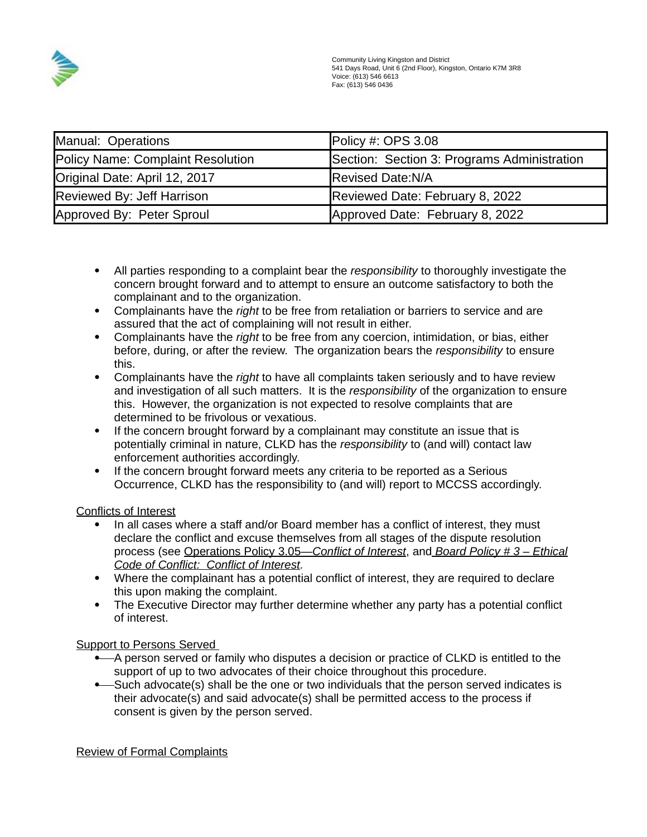

| Manual: Operations                | Policy #: OPS $3.08$                        |
|-----------------------------------|---------------------------------------------|
| Policy Name: Complaint Resolution | Section: Section 3: Programs Administration |
| Original Date: April 12, 2017     | <b>Revised Date:N/A</b>                     |
| Reviewed By: Jeff Harrison        | Reviewed Date: February 8, 2022             |
| Approved By: Peter Sproul         | Approved Date: February 8, 2022             |

- All parties responding to a complaint bear the *responsibility* to thoroughly investigate the concern brought forward and to attempt to ensure an outcome satisfactory to both the complainant and to the organization.
- Complainants have the *right* to be free from retaliation or barriers to service and are assured that the act of complaining will not result in either.
- Complainants have the *right* to be free from any coercion, intimidation, or bias, either before, during, or after the review. The organization bears the *responsibility* to ensure this.
- Complainants have the *right* to have all complaints taken seriously and to have review and investigation of all such matters. It is the *responsibility* of the organization to ensure this. However, the organization is not expected to resolve complaints that are determined to be frivolous or vexatious.
- If the concern brought forward by a complainant may constitute an issue that is potentially criminal in nature, CLKD has the *responsibility* to (and will) contact law enforcement authorities accordingly.
- If the concern brought forward meets any criteria to be reported as a Serious Occurrence, CLKD has the responsibility to (and will) report to MCCSS accordingly.

# Conflicts of Interest

- In all cases where a staff and/or Board member has a conflict of interest, they must declare the conflict and excuse themselves from all stages of the dispute resolution process (see Operations Policy 3.05— *Conflict of Interest*, and *Board Policy # 3 – Ethical Code of Conflict: Conflict of Interest.*
- Where the complainant has a potential conflict of interest, they are required to declare this upon making the complaint.
- The Executive Director may further determine whether any party has a potential conflict of interest.

# Support to Persons Served

- A person served or family who disputes a decision or practice of CLKD is entitled to the support of up to two advocates of their choice throughout this procedure.
- Such advocate(s) shall be the one or two individuals that the person served indicates is their advocate(s) and said advocate(s) shall be permitted access to the process if consent is given by the person served.

Review of Formal Complaints